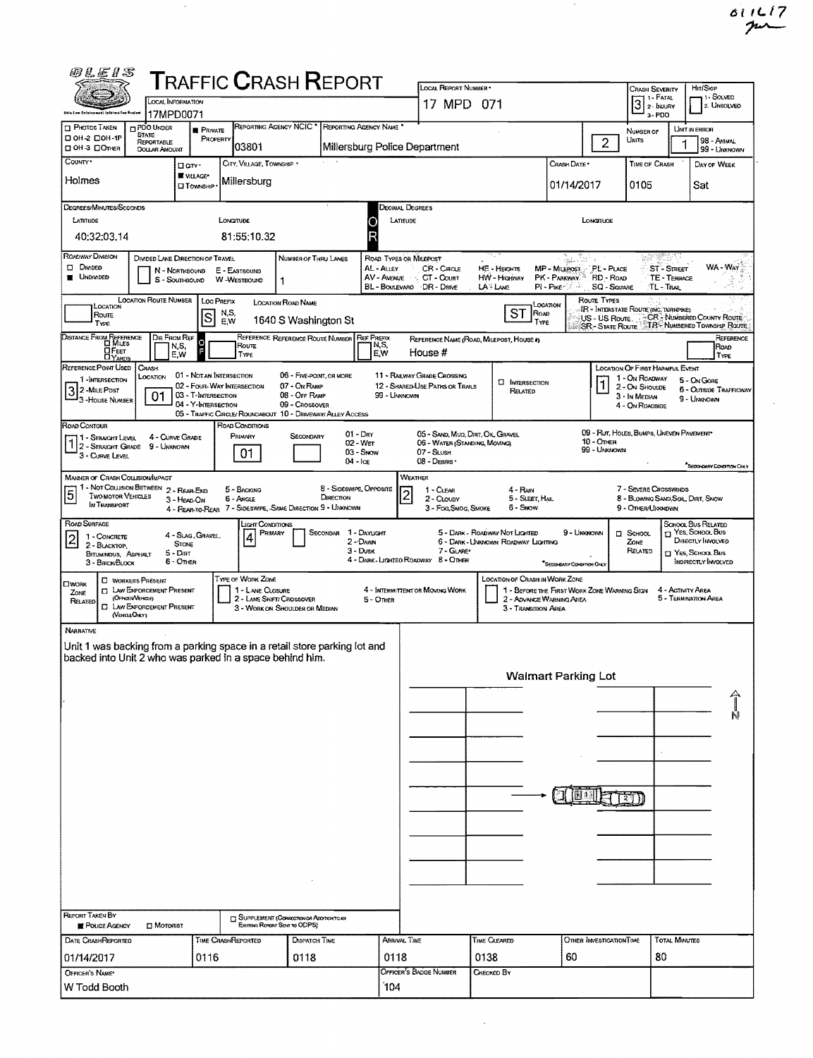$\sim$ 

| 0LE1S                                                                                                                                 |                                                                                            |                                            |                                                                              |                                                                                     |                                      |                           |                                                                |                                                 |                                               |                                                                          |                              |                                                                                  |                                                                                                 |                                                                           |  |  |  |  |
|---------------------------------------------------------------------------------------------------------------------------------------|--------------------------------------------------------------------------------------------|--------------------------------------------|------------------------------------------------------------------------------|-------------------------------------------------------------------------------------|--------------------------------------|---------------------------|----------------------------------------------------------------|-------------------------------------------------|-----------------------------------------------|--------------------------------------------------------------------------|------------------------------|----------------------------------------------------------------------------------|-------------------------------------------------------------------------------------------------|---------------------------------------------------------------------------|--|--|--|--|
|                                                                                                                                       | <b>TRAFFIC CRASH REPORT</b><br>LOCAL INFORMATION                                           |                                            |                                                                              |                                                                                     |                                      |                           | LOCAL REPORT NUMBER *<br>17 MPD 071                            |                                                 |                                               |                                                                          |                              |                                                                                  | Hit/SkiP<br><b>CRASH SEVERITY</b><br>, 1 - Solved<br>1 - Fatal<br>3<br>2. UNSOLVED<br>2- INJURY |                                                                           |  |  |  |  |
| 2his Law Enforcement information Unstan<br><b>T</b> Photos Taken                                                                      | 17MPD0071<br>PDO UNDER                                                                     | <b>R</b> PRIVATE                           |                                                                              | REPORTING AGENCY NCIC * REPORTING AGENCY NAME *                                     |                                      |                           |                                                                |                                                 |                                               |                                                                          |                              | 3-PDO                                                                            |                                                                                                 | UNIT IN ERROR                                                             |  |  |  |  |
| □ 0H-2 □ 0H-1P<br>□ OH 3 □ Отнея                                                                                                      | <b>STATE</b><br>REPORTABLE<br><b>OOLLAR AMOUNT</b>                                         | PROPERTY                                   | 03801                                                                        |                                                                                     |                                      |                           | Millersburg Police Department                                  |                                                 |                                               |                                                                          | $\overline{2}$               | NUMBER OF<br>UNITS                                                               |                                                                                                 | 98 - ANMAL<br>99 - UNKNOWN                                                |  |  |  |  |
| County*                                                                                                                               |                                                                                            | □ an ·                                     | CITY, VILLAGE, TOWNSHIP                                                      |                                                                                     |                                      |                           |                                                                |                                                 |                                               | Crash Date *                                                             |                              | <b>TIME OF CRASH</b>                                                             |                                                                                                 | DAY OF WEEK                                                               |  |  |  |  |
| Holmes                                                                                                                                |                                                                                            | VILLAGE*<br><b>I</b> Township              | Millersburg                                                                  |                                                                                     |                                      |                           |                                                                |                                                 |                                               | 01/14/2017                                                               |                              | 0105                                                                             |                                                                                                 | Sat                                                                       |  |  |  |  |
| DEGREES/MINUTES/SECONDS                                                                                                               |                                                                                            |                                            |                                                                              |                                                                                     |                                      | Decimal Degrees           |                                                                |                                                 |                                               |                                                                          |                              |                                                                                  |                                                                                                 |                                                                           |  |  |  |  |
| LATITUDE                                                                                                                              |                                                                                            |                                            | <b>LONGITUDE</b>                                                             |                                                                                     |                                      | C                         | LATITUDE<br>LONGITUDE                                          |                                                 |                                               |                                                                          |                              |                                                                                  |                                                                                                 |                                                                           |  |  |  |  |
| 40:32:03.14<br>ROADWAY DIVISION                                                                                                       | DIVIDED LANE DIRECTION OF TRAVEL                                                           |                                            | 81:55:10.32                                                                  | NUMBER OF THRU LANES                                                                |                                      |                           | ROAD TYPES OR MILEPOST                                         |                                                 |                                               | Alexandria                                                               |                              | 1296                                                                             |                                                                                                 |                                                                           |  |  |  |  |
| <b>DIVIDED</b><br><b>UNDIVIDED</b>                                                                                                    | N - NORTHBOUND<br>S - SOUTHBOUND                                                           |                                            | E - EASTBOUND<br>W-WESTBOUND                                                 | 1                                                                                   |                                      | AL - ALLEY<br>AV - Avenue | CR - Cincus<br>CT - COURT<br>BL - BOULEVARD / DR - DRIVE       | <b>HE - HEIGHTS</b><br>HW - Higriway<br>LA HANG |                                               | MP - MILEPOST PL - PLACE<br>PK - PARKWAY - RD - ROAD<br>PI - Pixe - Cole | <b>SQ - SOUARE</b>           |                                                                                  | ST - STREET<br>TE - TERRACE<br><b>TL-TRAIL</b>                                                  | WA - Way                                                                  |  |  |  |  |
| LOCATION                                                                                                                              | <b>LOCATION ROUTE NUMBER</b>                                                               | <b>LOC PREFIX</b>                          | N,S,                                                                         | LOCATION ROAD NAME                                                                  |                                      |                           |                                                                |                                                 | LOCATION<br>ST<br>ROAD                        |                                                                          | ROUTE TYPES                  | <b>IR - INTERSTATE ROUTE (INC. TURNPIKE)</b>                                     |                                                                                                 |                                                                           |  |  |  |  |
| Route<br>Type                                                                                                                         |                                                                                            | lS                                         | EW                                                                           | 1640 S Washington St                                                                |                                      |                           |                                                                |                                                 | TYPE                                          |                                                                          | <b>SR-STATE ROUTE</b>        |                                                                                  |                                                                                                 | US - US ROUTE CR. NUMBERED COUNTY ROUTE<br>"TR'- NUMBERED TOWNSHIP ROUTE  |  |  |  |  |
| DISTANCE FROM REFERENCE<br><b>OFEET</b>                                                                                               | DIR FROM REF<br>N,S,<br>E.W                                                                | o<br>г                                     | Route<br>TYPE                                                                | REFERENCE REFERENCE ROUTE NUMBER REF PREFIX                                         |                                      | N,S,<br>E,W               | REFERENCE NAME (ROAD, MILEPOST, HOUSE #)<br>House #            |                                                 |                                               |                                                                          |                              |                                                                                  |                                                                                                 | REFERENCE<br>ROAD<br>TYPE                                                 |  |  |  |  |
| REFERENCE POINT USED<br>1-INTERSECTION                                                                                                | CRASH<br>LOCATION                                                                          | 01 - NOT AN INTERSECTION                   | 02 - FOUR-WAY INTERSECTION                                                   | 06 - FIVE-POINT, OR MORE<br>07 - On Ramp                                            |                                      |                           | 11 - RAILWAY GRADE CROSSING<br>12 - SHARED-USE PATHS OR TRAILS |                                                 | <b>C INTERSECTION</b>                         |                                                                          | 1                            | <b>LOCATION OF FIRST HARMFUL EVENT</b><br>1 - On ROADWAY<br>2 - ON SHOULDE       |                                                                                                 | 5 - ON GORE                                                               |  |  |  |  |
| $3^2$ -Mile Post<br>3-House NUMBER                                                                                                    | 01                                                                                         | 03 - T-INTERSECTION<br>04 - Y-INTERSECTION | 05 - TRAFFIC CIRCLE/ ROUNDABOUT 10 - DRIVEWAY/ ALLEY ACCESS                  | 08 - OFF RAMP<br>09 - Caossovea                                                     |                                      | 99 - Unknown              |                                                                |                                                 | RELATED                                       |                                                                          |                              | 3 - IN MEDIAN<br>4 - ON ROADSIDE                                                 |                                                                                                 | <b>6 - OUTSIDE TRAFFICWAY</b><br>9 - UMMOWN                               |  |  |  |  |
| ROAD CONTOUR<br>1 - Straight Level                                                                                                    | 4 - CURVE GRADE                                                                            |                                            | ROAD CONDITIONS<br>PRIMARY                                                   | SECONDARY                                                                           |                                      | $01 - \text{Dry}$         | 05 - SAND, MUD, DIRT, OIL GRAVEL                               |                                                 |                                               |                                                                          |                              | 09 - Rut, HOLES, BUMPS, UNEVEN PAVEMENT                                          |                                                                                                 |                                                                           |  |  |  |  |
| $12 -$ Straight Grade 9 - Unknown<br>3 - CURVE LEVEL                                                                                  |                                                                                            |                                            | 01                                                                           |                                                                                     | $04 -$ Ice                           | 02 - Wer<br>03 - Swow     | 06 - WATER (STANDING, MOVING)<br>07 - SLUSH<br>08 - DEBRIS ·   |                                                 |                                               |                                                                          | $10 -$ OTHER<br>99 - Unknown |                                                                                  |                                                                                                 |                                                                           |  |  |  |  |
| <b>MANNER OF CRASH COLLISION/IMPACT</b>                                                                                               |                                                                                            |                                            |                                                                              |                                                                                     |                                      |                           | <b>WEATHER</b>                                                 |                                                 |                                               |                                                                          |                              |                                                                                  |                                                                                                 | <b>SECONDARY CONDITION ONLY</b>                                           |  |  |  |  |
| 5<br><b>TWO MOTOR VEHICLES</b><br>IN TRANSPORT                                                                                        | 1 - Not Collision Between 2 - Rear-End<br>3 - HEAD-ON                                      | 4 - REAR-TO-REAR                           | 5 - BACKING<br><b>6 - ANGLE</b><br>7 - SIDESWIPE, SAME DIRECTION 9 - UNKNOWN |                                                                                     | 8 - SIDESWIPE, OPPOSITE<br>DIRECTION |                           | 1 - CLEAR<br>2 - CLOUDY<br>3 - Fog Smog, Smoke                 |                                                 | 4 - RAN<br>5 - SLEET, HAIL<br>6 - Snow        |                                                                          |                              | 7 - SEVERE CROSSWINDS<br>8 - BLOWING SAND, SOIL, DIRT, SNOW<br>9 - Other/Unknown |                                                                                                 |                                                                           |  |  |  |  |
| ROAD SURFACE<br>1 - CONCRETE                                                                                                          |                                                                                            | 4 - SLAG, GRAVEL,                          | LIGHT CONDITIONS<br>PRIMARY<br>4                                             |                                                                                     | SECONDAR 1 - DAYLIGHT                |                           |                                                                | 5 - DARK - ROADWAY NOT LIGHTED                  |                                               | 9 - UNKNOWN                                                              |                              | $\square$ SCHOOL                                                                 |                                                                                                 | SCHOOL BUS RELATED<br>$\Box$ Yes, School, Bus                             |  |  |  |  |
| 2 - BLACKTOP,<br>BITUMMOUS, ASPHALT<br>3 - BRICK/BLOCK                                                                                | <b>STONE</b><br>5 - Dirt<br>6 - OTHER                                                      |                                            |                                                                              |                                                                                     |                                      | 2 - DAWN<br>$3 -$ Dusk    | 7 - GUARE*<br>4 - DARK - LIGHTEO ROADWAY B - OTHER             | 6 - DARK - UNKNOWN ROADWAY LIGHTING             |                                               | "Secondutiv Condition Only                                               |                              | ZONE<br>RELATED                                                                  |                                                                                                 | DIRECTLY INVOLVED<br>$\Box$ YES, SCHOOL Bus<br><b>INDIRECTLY INVOLVED</b> |  |  |  |  |
| <b>CIWORK</b>                                                                                                                         | <b>C WORKERS PRESENT</b>                                                                   |                                            | TYPE OF WORK ZONE                                                            |                                                                                     |                                      |                           |                                                                |                                                 | LOCATION OF CRASH IN WORK ZONE                |                                                                          |                              |                                                                                  |                                                                                                 |                                                                           |  |  |  |  |
| ZONE<br>RELATED<br>(VENGE ONLY)                                                                                                       | <b>CT LAW EXFORCEMENT PRESENT</b><br>(OFFICER VEHICLE)<br><b>C LAW EXFORCEMENT PRESENT</b> |                                            | 1 - LANE CLOSURE                                                             | 2 - LAME SHIFTI CROSSOVER<br>3 - WORK ON SHOULDER OR MEDIAN                         |                                      | 5 - Onier                 | 4 - INTERMITTENT OR MOVING WORK                                |                                                 | 2 - ADVANCE WARNING AREA<br>3 - Transmon Area | 1 - BEFORE THE FIRST WORK ZONE WARNING SIGN                              |                              |                                                                                  | 4 - Activity Area                                                                               | 5 - TERMINATION AREA                                                      |  |  |  |  |
| <b>NARRATIVE</b>                                                                                                                      |                                                                                            |                                            |                                                                              |                                                                                     |                                      |                           |                                                                |                                                 |                                               |                                                                          |                              |                                                                                  |                                                                                                 |                                                                           |  |  |  |  |
| Unit 1 was backing from a parking space in a retail store parking lot and<br>backed into Unit 2 who was parked in a space behind him. |                                                                                            |                                            |                                                                              |                                                                                     |                                      |                           |                                                                |                                                 |                                               |                                                                          |                              |                                                                                  |                                                                                                 |                                                                           |  |  |  |  |
|                                                                                                                                       |                                                                                            |                                            |                                                                              |                                                                                     |                                      |                           | <b>Walmart Parking Lot</b>                                     |                                                 |                                               |                                                                          |                              |                                                                                  |                                                                                                 |                                                                           |  |  |  |  |
|                                                                                                                                       |                                                                                            |                                            |                                                                              |                                                                                     |                                      |                           |                                                                |                                                 |                                               |                                                                          |                              |                                                                                  |                                                                                                 |                                                                           |  |  |  |  |
|                                                                                                                                       |                                                                                            |                                            |                                                                              |                                                                                     |                                      |                           |                                                                |                                                 |                                               |                                                                          |                              |                                                                                  |                                                                                                 | Ñ                                                                         |  |  |  |  |
|                                                                                                                                       |                                                                                            |                                            |                                                                              |                                                                                     |                                      |                           |                                                                |                                                 |                                               |                                                                          |                              |                                                                                  |                                                                                                 |                                                                           |  |  |  |  |
|                                                                                                                                       |                                                                                            |                                            |                                                                              |                                                                                     |                                      |                           |                                                                |                                                 |                                               |                                                                          |                              |                                                                                  |                                                                                                 |                                                                           |  |  |  |  |
|                                                                                                                                       |                                                                                            |                                            |                                                                              |                                                                                     |                                      |                           |                                                                |                                                 |                                               |                                                                          |                              |                                                                                  |                                                                                                 |                                                                           |  |  |  |  |
|                                                                                                                                       |                                                                                            |                                            |                                                                              |                                                                                     |                                      |                           |                                                                |                                                 |                                               |                                                                          |                              |                                                                                  |                                                                                                 |                                                                           |  |  |  |  |
|                                                                                                                                       |                                                                                            |                                            |                                                                              |                                                                                     |                                      |                           |                                                                |                                                 |                                               |                                                                          |                              |                                                                                  |                                                                                                 |                                                                           |  |  |  |  |
|                                                                                                                                       |                                                                                            |                                            |                                                                              |                                                                                     |                                      |                           |                                                                |                                                 |                                               |                                                                          |                              |                                                                                  |                                                                                                 |                                                                           |  |  |  |  |
|                                                                                                                                       |                                                                                            |                                            |                                                                              |                                                                                     |                                      |                           |                                                                |                                                 |                                               |                                                                          |                              |                                                                                  |                                                                                                 |                                                                           |  |  |  |  |
|                                                                                                                                       |                                                                                            |                                            |                                                                              |                                                                                     |                                      |                           |                                                                |                                                 |                                               |                                                                          |                              |                                                                                  |                                                                                                 |                                                                           |  |  |  |  |
| <b>REPORT TAKEN BY</b><br><b>POLICE AGENCY</b>                                                                                        | <b>D</b> MOTORIST                                                                          |                                            |                                                                              | <b>C SUPPLEMENT (CORRECTION OR ADDITIONT U.AY</b><br>Existrata Report Seve to ODPS) |                                      |                           |                                                                |                                                 |                                               |                                                                          |                              |                                                                                  |                                                                                                 |                                                                           |  |  |  |  |
| DATE CRASHREPORTED                                                                                                                    |                                                                                            |                                            | TIME CRASHREPORTED                                                           | <b>DISPATCH TIME</b>                                                                |                                      |                           | ARRIVAL TIME                                                   | TIME CLEARED                                    |                                               |                                                                          | OTHER INVESTIGATION TIME     |                                                                                  | TOTAL MINUTES                                                                                   |                                                                           |  |  |  |  |
| 01/14/2017<br>OFFICER'S NAME                                                                                                          |                                                                                            | 0116                                       |                                                                              | 0118                                                                                |                                      | 0118                      | OFFICER'S BADGE NUMBER                                         | 0138<br>CHECKED BY                              |                                               | 60                                                                       |                              | 80                                                                               |                                                                                                 |                                                                           |  |  |  |  |
| W Todd Booth                                                                                                                          |                                                                                            |                                            |                                                                              |                                                                                     | 104                                  |                           |                                                                |                                                 |                                               |                                                                          |                              |                                                                                  |                                                                                                 |                                                                           |  |  |  |  |

 $\ddot{\phantom{0}}$ 

 $\sim$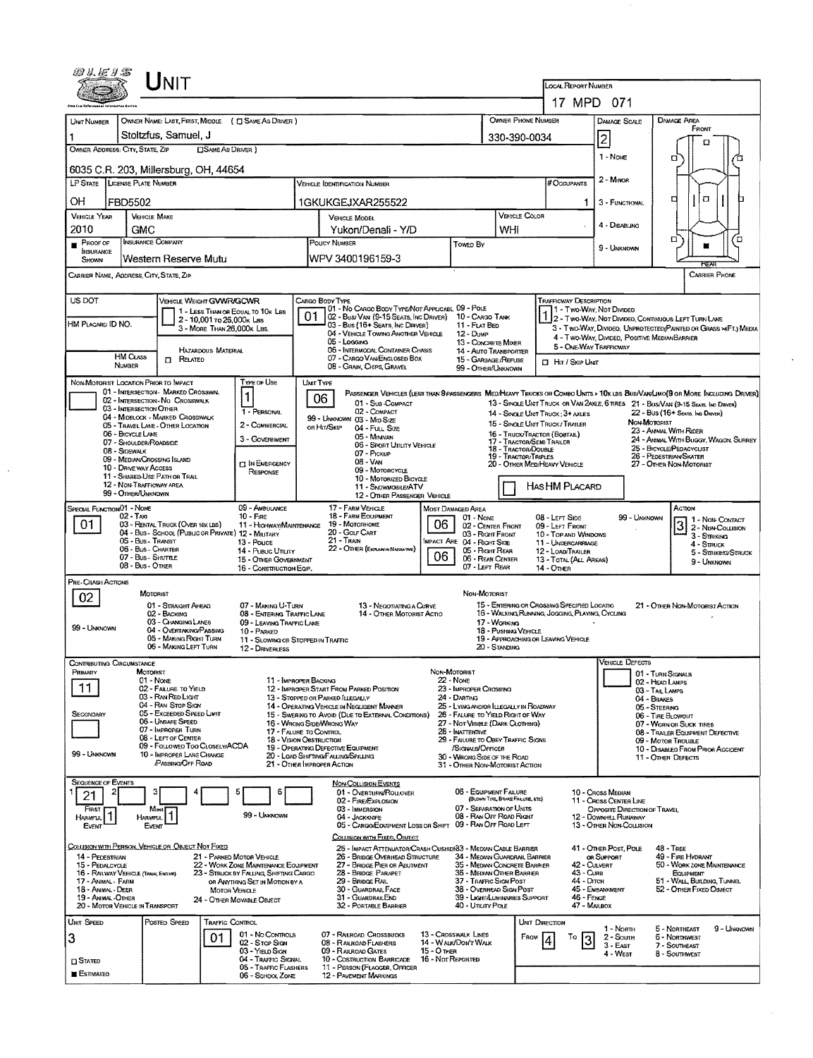| wacas                                                                                                                     |                                       | <b>NIT</b>                                                           |                            |                                                                          |                                  |                                                                                                                                                 |                                                |                                                                                    |                                                                                                                       |                                                 | <b>LOCAL REPORT NUMBER</b>                                |                                                                                                                   |                                                        |                         |                                      |  |  |
|---------------------------------------------------------------------------------------------------------------------------|---------------------------------------|----------------------------------------------------------------------|----------------------------|--------------------------------------------------------------------------|----------------------------------|-------------------------------------------------------------------------------------------------------------------------------------------------|------------------------------------------------|------------------------------------------------------------------------------------|-----------------------------------------------------------------------------------------------------------------------|-------------------------------------------------|-----------------------------------------------------------|-------------------------------------------------------------------------------------------------------------------|--------------------------------------------------------|-------------------------|--------------------------------------|--|--|
|                                                                                                                           |                                       |                                                                      |                            |                                                                          |                                  |                                                                                                                                                 |                                                |                                                                                    |                                                                                                                       |                                                 | 17 MPD 071                                                |                                                                                                                   |                                                        |                         |                                      |  |  |
|                                                                                                                           |                                       |                                                                      |                            | OWNER NAME: LAST, FIRST, MIDDLE ( C SAME AS DRIVER )                     |                                  |                                                                                                                                                 |                                                |                                                                                    |                                                                                                                       | OWNER PHONE NUMBER                              |                                                           | DAMAGE SCALE                                                                                                      |                                                        | <b>DAMAGE AREA</b>      |                                      |  |  |
| UNIT NUMBER                                                                                                               |                                       |                                                                      |                            |                                                                          |                                  |                                                                                                                                                 |                                                |                                                                                    |                                                                                                                       |                                                 |                                                           |                                                                                                                   |                                                        | FRONT                   |                                      |  |  |
| OWNER ADDRESS: CITY, STATE, ZIP                                                                                           |                                       | Stoltzfus, Samuel, J                                                 | <b>CISAME AS DRIVER</b> )  |                                                                          |                                  |                                                                                                                                                 |                                                |                                                                                    |                                                                                                                       | 330-390-0034                                    |                                                           | $\overline{c}$                                                                                                    |                                                        |                         |                                      |  |  |
|                                                                                                                           |                                       |                                                                      |                            |                                                                          |                                  |                                                                                                                                                 |                                                |                                                                                    |                                                                                                                       |                                                 |                                                           | 1 - Nove                                                                                                          | σ                                                      |                         |                                      |  |  |
| LP STATE LICENSE PLATE NUMBER                                                                                             |                                       | 6035 C.R. 203, Millersburg, OH, 44654                                |                            |                                                                          |                                  | VEHICLE IDENTIFICATION NUMBER                                                                                                                   |                                                |                                                                                    |                                                                                                                       |                                                 | # Occupants                                               | $2 -$ Minor                                                                                                       |                                                        |                         |                                      |  |  |
| OН<br>FBD5502                                                                                                             |                                       |                                                                      |                            |                                                                          | 1.                               | 3 - FUNCTIONAL                                                                                                                                  | д                                              | $\Box$                                                                             |                                                                                                                       |                                                 |                                                           |                                                                                                                   |                                                        |                         |                                      |  |  |
| <b>VEHICLE YEAR</b>                                                                                                       |                                       | <b>VEHICLE MAKE</b>                                                  |                            |                                                                          |                                  | <b>VEHICLE MODEL</b>                                                                                                                            |                                                |                                                                                    |                                                                                                                       | <b>VEHICLE COLOR</b>                            |                                                           |                                                                                                                   | 4 - DISABLING                                          |                         |                                      |  |  |
| 2010<br>$P_{ROOF}$                                                                                                        | GMC                                   | <b>INSURANCE COMPANY</b>                                             |                            |                                                                          |                                  | Yukon/Denali - Y/D<br>POLICY NUMBER<br><b>Towed By</b>                                                                                          |                                                |                                                                                    | WHI                                                                                                                   |                                                 |                                                           |                                                                                                                   | α                                                      |                         |                                      |  |  |
| INSURANCE<br><b>SHOWN</b>                                                                                                 |                                       | Western Reserve Mutu                                                 |                            |                                                                          |                                  | WPV 3400196159-3                                                                                                                                |                                                |                                                                                    |                                                                                                                       | 9 - UNKNOWN                                     | <b>REAR</b>                                               |                                                                                                                   |                                                        |                         |                                      |  |  |
| CARRIER NAME, ADDRESS, CITY, STATE, ZIP                                                                                   |                                       |                                                                      |                            |                                                                          |                                  |                                                                                                                                                 |                                                |                                                                                    |                                                                                                                       |                                                 |                                                           |                                                                                                                   |                                                        |                         | CARRIER PHONE                        |  |  |
| US DOT                                                                                                                    |                                       | VEHICLE WEIGHT GWWR/GCWR                                             |                            |                                                                          |                                  | CARGO BODY TYPE<br>01 - No CARGO BODY TYPE/NOT APPLICABL 09 - POLE                                                                              |                                                |                                                                                    |                                                                                                                       |                                                 | <b>TRAFFICWAY DESCRIPTION</b><br>1 - Two-Way, Not Divided |                                                                                                                   |                                                        |                         |                                      |  |  |
| HM PLACARD ID NO.                                                                                                         |                                       |                                                                      | 2 - 10,001 To 26,000K LBS  | 1 - LESS THAN OR EQUAL TO 10K LBS                                        | 01                               | 02 - Bus/ Van (9-15 Seats, Inc Driver)<br>03 - Bus (16+ Seats, Inc Driver)                                                                      |                                                | 10 - CARGO TANK<br>11 - FLAT BED                                                   |                                                                                                                       |                                                 |                                                           | 2 - Two-WAY, NOT DIVIDED, CONTINUOUS LEFT TURN LANE                                                               |                                                        |                         |                                      |  |  |
|                                                                                                                           |                                       |                                                                      | 3 - MORE THAN 26,000K LBS. |                                                                          |                                  | 04 - VEHICLE TOWING ANOTHER VEHICLE<br>05 - Logging                                                                                             |                                                | 12 - Dump<br>13 - CONCRETE MIXER                                                   |                                                                                                                       |                                                 |                                                           | 3 - Two-WAY, DIVIDEO, UNPROTECTED (PAINTED OR GRASS >4FT.) MEDIA<br>4 - Two-Way, Divideo, Positive Median Barrier |                                                        |                         |                                      |  |  |
|                                                                                                                           | <b>HM CLASS</b>                       | $\Box$ Related                                                       | <b>HAZARDOUS MATERIAL</b>  |                                                                          |                                  | 06 - INTERMODAL CONTAINER CHASIS<br>07 - CARGO VAN ENGLOSED BOX                                                                                 | 14 - Auto Transporter<br>15 - GARBAGE / REFUSE |                                                                                    | <b>CI HIT / SKIP UNIT</b>                                                                                             | 5 - ONE-WAY TRAFFICWAY                          |                                                           |                                                                                                                   |                                                        |                         |                                      |  |  |
|                                                                                                                           | <b><i>NUMBER</i></b>                  |                                                                      |                            | <b>TYPE OF USE</b>                                                       |                                  | 08 - GRAIN, CHIPS, GRAVEL                                                                                                                       |                                                | 99 - OTHER/UNKNOWN                                                                 |                                                                                                                       |                                                 |                                                           |                                                                                                                   |                                                        |                         |                                      |  |  |
| NON-MOTORIST LOCATION PRIOR TO IMPACT                                                                                     |                                       | 01 - INTERSECTION - MARKED CROSSWAL                                  |                            | 1                                                                        |                                  | UNIT TYPE<br>PASSENGER VEHICLES (LESS THAN OPASSENGERS MEDIHEAVY TRUCKS OR COMBO UNITS > 10x LBS BUS/VAN/LIMO(O OR MORE INCLUDING DRIVER)<br>06 |                                                |                                                                                    |                                                                                                                       |                                                 |                                                           |                                                                                                                   |                                                        |                         |                                      |  |  |
|                                                                                                                           | 03 - INTERSECTION OTHER               | 02 - INTERSECTION - NO CROSSWALK<br>04 - MIDBLOCK - MARKED CROSSWALK |                            | 1 - PERSONAL                                                             |                                  | 01 - Sub COMPACT<br>02 - COMPACT                                                                                                                |                                                |                                                                                    |                                                                                                                       |                                                 | 14 - SINGLE UNIT TRUCK: 3+ AXLES                          | 13 - SINGLE UNIT TRUCK OR VAN 2AXLE, 6 TIRES 21 - BUS/VAN (9-15 SEATS, INC DRIVER)                                | 22 - Bus (16+ Seats, Inc. Draver)                      |                         |                                      |  |  |
|                                                                                                                           | 06 - BICYCLE LANE                     | 05 - TRAVEL LANE - OTHER LOCATION                                    |                            | 2 - COMMERCIAL                                                           |                                  | 99 - UNKNOWN 03 - Mrd Size<br>OR HIT/SKIP<br>$04 - Fun. Size$                                                                                   |                                                |                                                                                    |                                                                                                                       |                                                 | 15 - SINGLE UNIT TRUCK / TRAILER                          |                                                                                                                   | NON-MOTORIST<br>23 - AMMAL WITH RIDER                  |                         |                                      |  |  |
|                                                                                                                           | 07 - SHOULDER/ROADSIDE                |                                                                      |                            | 3 - GOVERNMENT                                                           |                                  | 05 - Minivan<br>06 - SPORT UTILITY VEHICLE                                                                                                      |                                                |                                                                                    |                                                                                                                       | 17 - TRACTOR/SEMI-TRALER<br>18 - TRACTOR/DOUBLE | 16 - TRUCK/TRACTOR (BOBTAIL)                              |                                                                                                                   | 25 - BICYCLE/PEDACYCLIST                               |                         | 24 - AMMAL WITH BUGGY, WAGON, SURREY |  |  |
| 08 - Sidewalk<br>09 - MEDIAN/CROSSING ISLAND<br><b>IT IN EMERGENCY</b>                                                    |                                       |                                                                      |                            |                                                                          |                                  | 07 - PICKUP<br>08 - VAN                                                                                                                         |                                                |                                                                                    |                                                                                                                       | 19 - TRACTOR/TRIPLES                            | 20 - OTHER MED/HEAVY VEHICLE                              | 26 - Pedestrian/Skater<br>27 - Other Non-Motorist                                                                 |                                                        |                         |                                      |  |  |
| 10 - DRIVE WAY ACCESS<br>RESPONSE<br>11 - SHARED-USE PATH OR TRAIL<br>12 - NON-TRAFFICWAY AREA                            |                                       |                                                                      |                            |                                                                          |                                  | 09 - MOTORCYCLE<br>10 - MOTORIZED BICYCLE                                                                                                       |                                                |                                                                                    |                                                                                                                       |                                                 |                                                           |                                                                                                                   |                                                        |                         |                                      |  |  |
| <b>HASHM PLACARD</b><br>11 - SNOWMOBILE/ATV<br>99 - OTHER/UNKNOWN<br>12 - OTHER PASSENGER VEHICLE                         |                                       |                                                                      |                            |                                                                          |                                  |                                                                                                                                                 |                                                |                                                                                    |                                                                                                                       |                                                 |                                                           |                                                                                                                   |                                                        |                         |                                      |  |  |
| SPECIAL FUNCTION 01 - NOME                                                                                                | $02 - T$ AXI                          |                                                                      |                            | 09 - AMBULANCE<br>$10 -$ Fire                                            |                                  | 17 - FARM VEHICLE<br><b>18 - FARM EQUIPMENT</b>                                                                                                 |                                                | <b>MOST DAMAGED AREA</b><br>01 - None                                              |                                                                                                                       |                                                 | 08 - LEFT SIDE                                            | 99 - UNKNOWN                                                                                                      |                                                        | Астом                   | 1 1 - Non-Contact                    |  |  |
| 01<br>03 - RENTAL TRUCK (OVER 10K LBS)<br>11 - HIGHWAY/MAINTENANCE<br>04 - Bus - SCHOOL (PUBLIC OR PRIVATE) 12 - MILITARY |                                       |                                                                      |                            |                                                                          | 19 - MOTORHOME<br>20 - Golf Cart | 06                                                                                                                                              | 02 - CENTER FRONT<br>03 - Right FRONT          |                                                                                    |                                                                                                                       | 09 - LEFT FRONT<br>10 - TOP AND WINDOWS         |                                                           |                                                                                                                   | 3 - Striking                                           | 2 - Non-Collision       |                                      |  |  |
| 05 - Bus - Transit<br>13 - Pouce<br>06 - Bus - Charter<br>14 - Pusuc Unury                                                |                                       |                                                                      |                            |                                                                          |                                  | 21 - TRAIN<br>22 - OTHER (EXPLAN IN NASSATIVE)                                                                                                  |                                                | <b>MPACT ARE 04 - RIGHT SIDE</b>                                                   | 11 - UNDERCARRIAGE<br>05 - Right Rear<br>12 - LOAD/TRAILER                                                            |                                                 |                                                           | 4 - STRUCK                                                                                                        |                                                        |                         | 5 - Striking/Struck                  |  |  |
|                                                                                                                           | 07 - Bus - Shorme<br>08 - Bus - Other |                                                                      |                            | 15 - Other Government<br>16 - CONSTRUCTION EQIP.                         |                                  |                                                                                                                                                 | 06                                             | 06 - REAR CENTER<br>07 - LEFT REAR                                                 |                                                                                                                       |                                                 | 13 - TOTAL (ALL AREAS)<br>14 - OTHER                      |                                                                                                                   |                                                        |                         | 9 - UNKNOWN                          |  |  |
| PRE-CRASH ACTIONS                                                                                                         |                                       |                                                                      |                            |                                                                          |                                  |                                                                                                                                                 |                                                |                                                                                    |                                                                                                                       |                                                 |                                                           |                                                                                                                   |                                                        |                         |                                      |  |  |
| 02                                                                                                                        |                                       | MOTORIST<br>01 - STRAIGHT AHEAD                                      |                            | 07 - MAKING U-TURN                                                       |                                  | 13 - Negotiating a Curve                                                                                                                        |                                                | NON-MOTORIST                                                                       |                                                                                                                       |                                                 | 15 - EMTERING OR CROSSING SPECIFIED LOCATIO               |                                                                                                                   | 21 - OTHER NON-MOTORIST ACTION                         |                         |                                      |  |  |
|                                                                                                                           |                                       | 02 - BACKING<br>03 - Changing LANES                                  |                            | 08 - ENTERING TRAFFIC LANE<br>09 - LEAVING TRAFFIC LANE                  |                                  | 14 - OTHER MOTORIST ACTIO<br>17 - WORKING                                                                                                       |                                                |                                                                                    |                                                                                                                       |                                                 | 16 - WALKING RUNNING, JOGGING, PLAYING, CYCLING           |                                                                                                                   |                                                        |                         |                                      |  |  |
| 99 - UNKNOWN                                                                                                              |                                       | 04 - OVERTAKING PASSING<br>05 - MAKING RIGHT TURN                    |                            | 10 - PARKED<br>11 - SLOWING OR STOPPED IN TRAFFIC                        |                                  |                                                                                                                                                 |                                                |                                                                                    |                                                                                                                       | 18 - Pushava Vehicle                            | 19 - APPROACHING OR LEAVING VEHICLE                       |                                                                                                                   |                                                        |                         |                                      |  |  |
|                                                                                                                           |                                       | 06 - MAKING LEFT TURN                                                |                            | 12 - DRIVERLESS                                                          |                                  |                                                                                                                                                 |                                                |                                                                                    | 20 - Standing                                                                                                         |                                                 |                                                           |                                                                                                                   |                                                        |                         |                                      |  |  |
| CONTRIBUTING CIRCUMSTANCE<br>PRIMARY                                                                                      |                                       | MOTORIST                                                             |                            |                                                                          |                                  |                                                                                                                                                 |                                                | NON-MOTORIST                                                                       |                                                                                                                       |                                                 |                                                           | <b>VEHICLE DEFECTS</b>                                                                                            | 01 - TURN SIGNALS                                      |                         |                                      |  |  |
| 11                                                                                                                        |                                       | $01 - None$<br>02 - FAILURE TO YIELD                                 |                            | 11 - IMPROPER BACKING                                                    |                                  | 12 - IMPROPER START FROM PARKED POSITION                                                                                                        |                                                | <b>22 - NONE</b><br>23 - IMPROPER CROSSING                                         |                                                                                                                       |                                                 |                                                           |                                                                                                                   | 02 - Head Lamps<br>03 - TAIL LAMPS                     |                         |                                      |  |  |
|                                                                                                                           |                                       | 03 - RAN RED LIGHT<br>04 - RAN STOP SIGN                             |                            |                                                                          |                                  | 13 - Stopped or PARKED LLEGALLY<br>14 - OPERATING VEHICLE IN NEGLIGENT MANNER                                                                   |                                                | 24 - DARTING                                                                       | 04 - BRAKES<br>25 - LYING ANDIOR LLEGALLY IN ROADWAY<br>05 - STEERING                                                 |                                                 |                                                           |                                                                                                                   |                                                        |                         |                                      |  |  |
| SECONDARY                                                                                                                 |                                       | 05 - Exceeded Speed Limit<br>06 - UNSAFE SPEED<br>07 - IMPROPER TURN |                            |                                                                          |                                  | 15 - SWERING TO AVOID (DUE TO EXTERNAL CONDITIONS)<br>16 - WRONG SIDEAWRONG WAY                                                                 |                                                |                                                                                    | 26 - FALURE TO YIELD RIGHT OF WAY<br>06 - TIRE BLOWOUT<br>27 - NOT VISIBLE (DARK CLOTHING)<br>07 - WORN OR SUCK TIRES |                                                 |                                                           |                                                                                                                   |                                                        |                         |                                      |  |  |
|                                                                                                                           |                                       | 08 - LEFT OF CENTER<br>09 - FOLLOWED TOO CLOSELY/ACDA                |                            | 17 - FALURE TO CONTROL<br><b>18 - VISION OBSTRUCTION</b>                 |                                  |                                                                                                                                                 |                                                | 28 - INATTENTIVE<br>29 - FAILURE TO OBEY TRAFFIC SIGNS                             |                                                                                                                       |                                                 |                                                           |                                                                                                                   | 08 - TRAILER EQUIPMENT DEFECTIVE<br>09 - MOTOR TROUBLE |                         |                                      |  |  |
| 99 - UNKNOWN                                                                                                              |                                       | 10 - IMPROPER LANE CHANGE<br><b>PASSING/OFF ROAD</b>                 |                            |                                                                          |                                  | 19 - OPERATING DEFECTIVE EQUIPMENT<br>20 - LOAD SHIFTING/FALLING/SPILLING<br>21 - OTHER IMPROPER ACTION                                         |                                                | /Signal s/Officer<br>30 - WRONG SIDE OF THE ROAD<br>31 - OTHER NON-MOTORIST ACTION |                                                                                                                       |                                                 |                                                           |                                                                                                                   | 11 - OTHER DEFECTS                                     |                         | 10 - DISABLED FROM PRIOR ACCIDENT    |  |  |
| SEQUENCE OF EVENTS                                                                                                        |                                       |                                                                      |                            |                                                                          |                                  |                                                                                                                                                 |                                                |                                                                                    |                                                                                                                       |                                                 |                                                           |                                                                                                                   |                                                        |                         |                                      |  |  |
| 21                                                                                                                        |                                       |                                                                      |                            | 6                                                                        |                                  | <b>NON-COLLISION EVENTS</b><br>01 - OVERTURN/ROLLOVER                                                                                           |                                                | 06 - EQUIPMENT FAILURE                                                             |                                                                                                                       | (BLOWN TIRE, BRAKE FAILURE, ETC)                |                                                           | 10 - Cross Median<br>11 - CROSS CENTER LINE                                                                       |                                                        |                         |                                      |  |  |
| FIRST                                                                                                                     |                                       | Most                                                                 |                            | 99 - UNKNOWN                                                             |                                  | 02 - FIRE/EXPLOSION<br>03 - IMMERSION                                                                                                           |                                                | 07 - SEPARATION OF UNITS<br>08 - RAN OFF ROAD RIGHT                                |                                                                                                                       |                                                 |                                                           | OPPOSITE DIRECTION OF TRAVEL<br>12 - DOWNHILL RUNAWAY                                                             |                                                        |                         |                                      |  |  |
| <b>HARMFUL</b><br>Event                                                                                                   | <b>HARMFUL</b>                        | EVENT                                                                |                            |                                                                          |                                  | 04 - JACKKNIFE<br>05 - CARGO/EOUPMENT LOSS OR SHIFT 09 - RAN OFF ROAD LEFT                                                                      |                                                |                                                                                    |                                                                                                                       |                                                 |                                                           | 13 - OTHER NON-COLLISION                                                                                          |                                                        |                         |                                      |  |  |
| COLLISION WITH PERSON, VEHICLE OR OBJECT NOT FIXED                                                                        |                                       |                                                                      |                            |                                                                          |                                  | COLLISION WITH FIXED, OBJECT<br>25 - Impact Attenuator/Crash Cushidx83 - Median Cable Barrier                                                   |                                                |                                                                                    |                                                                                                                       |                                                 |                                                           | 41 - OTHER POST, POLE                                                                                             | 48 - TREE                                              |                         |                                      |  |  |
| 14 - PEDESTRIAN<br>15 - PEDALCYCLE                                                                                        |                                       |                                                                      |                            | 21 - PARKED MOTOR VEHICLE<br>22 - WORK ZONE MAINTENANCE EQUIPMENT        |                                  | 26 - BRIDGE OVERHEAD STRUCTURE<br>27 - BRIDGE PIER OR ABUTMENT                                                                                  |                                                | 34 - MEDIAN GUARDRAIL BARRIER<br>35 - MEDIAN CONCRETE BARRIER                      |                                                                                                                       |                                                 | 42 - CULVERT                                              | OR SUPPORT                                                                                                        |                                                        | 49 - FIRE HYDRANT       | 50 - WORK ZONE MAINTENANCE           |  |  |
| 16 - RAILWAY VEHICLE (TRAIN, ENGINE)<br>17 - Animal - Farm                                                                |                                       |                                                                      |                            | 23 - STRUCK BY FALLING, SHIFTING CARGO<br>OR ANYTHING SET IN MOTION BY A |                                  | 28 - BRIDGE PARAPET<br>29 - BRIDGE RAIL                                                                                                         |                                                | 36 - MEDIAN OTHER BARRIER<br>37 - TRAFFIC SIGN POST                                |                                                                                                                       |                                                 | 43 - Cuns<br>44 - DITCH                                   | Есирмент<br>51 - WALL BUILDING, TUNNEL                                                                            |                                                        |                         |                                      |  |  |
| 18 - Animal - Deer<br>19 - ANMAL-OTHER                                                                                    |                                       |                                                                      | <b>MOTOR VEHICLE</b>       | 24 - OTHER MOVABLE OBJECT                                                |                                  | 30 - GUARDRAIL FACE<br>31 - GUARDRAILEND                                                                                                        |                                                | 38 - OVERHEAD SIGN POST<br>39 - Light/Luminaries Support                           |                                                                                                                       |                                                 | 46 - FENCE                                                | 45 - EMBANKMENT                                                                                                   |                                                        | 52 - OTHER FIXED OBJECT |                                      |  |  |
| 20 - MOTOR VEHICLE IN TRANSPORT                                                                                           |                                       |                                                                      |                            |                                                                          |                                  | 32 - PORTABLE BARRIER                                                                                                                           |                                                | 40 - Ununy Pous                                                                    |                                                                                                                       |                                                 | 47 - MAILBOX                                              |                                                                                                                   |                                                        |                         |                                      |  |  |
| UNIT SPEED                                                                                                                |                                       | POSTED SPEED                                                         | TRAFFIC CONTROL            | 01 - No Controls                                                         |                                  | 07 - RAILROAD CROSSBUCKS                                                                                                                        |                                                | 13 - CROSSWALK LINES                                                               |                                                                                                                       | UNIT DIRECTION<br>FROM                          | То                                                        | 1 - North<br>2 - South                                                                                            | 5 - NORTHEAST                                          | 6 - Northwest           | 9 - UNKNOWN                          |  |  |
| 3                                                                                                                         |                                       |                                                                      | 01                         | 02 - Stop Ston<br>03 - YIELD SIGN                                        |                                  | 08 - RAILROAD FLASHERS<br>09 - RAUROAD GATES                                                                                                    | 15 - О тнек                                    | 14 - WALK/DON'T WALK                                                               |                                                                                                                       |                                                 | l3                                                        | $3 - EAF$<br>4 - WEST                                                                                             | 7 - SOUTHEAST<br>8 - SOUTHWEST                         |                         |                                      |  |  |
| <b>CI STATED</b>                                                                                                          |                                       |                                                                      |                            | 04 - TRAFFIC SIGNAL<br>05 - TRAFFIC FLASHERS                             |                                  | 10 - COSTRUCTION BARRICADE<br>11 - PERSON (FLAGGER, OFFICER                                                                                     | 16 - Not Reported                              |                                                                                    |                                                                                                                       |                                                 |                                                           |                                                                                                                   |                                                        |                         |                                      |  |  |
| <b>E</b> Estimated                                                                                                        |                                       |                                                                      |                            | 06 - SCHOOL ZONE                                                         |                                  | <b>12 - PAVEMENT MARKINGS</b>                                                                                                                   |                                                |                                                                                    |                                                                                                                       |                                                 |                                                           |                                                                                                                   |                                                        |                         |                                      |  |  |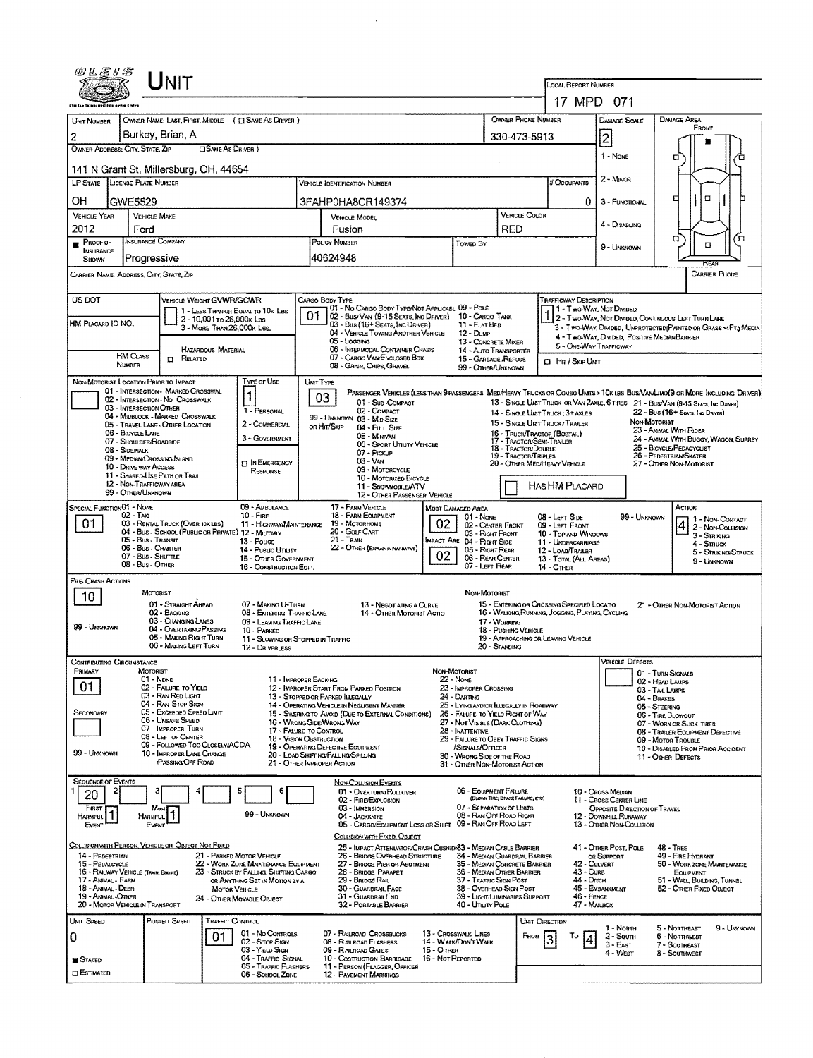| @LE1S                                    | UNIT                                                                                                          |                                                                          |                                                                                                |                                              |                                                                                         |                                                                                                                                                |                                                                                                                  |                                                                                                                               |  |  |  |  |
|------------------------------------------|---------------------------------------------------------------------------------------------------------------|--------------------------------------------------------------------------|------------------------------------------------------------------------------------------------|----------------------------------------------|-----------------------------------------------------------------------------------------|------------------------------------------------------------------------------------------------------------------------------------------------|------------------------------------------------------------------------------------------------------------------|-------------------------------------------------------------------------------------------------------------------------------|--|--|--|--|
|                                          |                                                                                                               |                                                                          | <b>LOCAL REPORT NUMBER</b><br>17 MPD 071                                                       |                                              |                                                                                         |                                                                                                                                                |                                                                                                                  |                                                                                                                               |  |  |  |  |
|                                          |                                                                                                               |                                                                          |                                                                                                |                                              |                                                                                         | OWNER PHONE NUMBER                                                                                                                             |                                                                                                                  | DAMAGE AREA                                                                                                                   |  |  |  |  |
| UNIT NUMBER<br>2                         | Burkey, Brian, A                                                                                              | OWNER NAME: LAST, FIRST, MIDDLE ( CI SAME AS DRIVER )                    |                                                                                                |                                              | 330-473-5913                                                                            |                                                                                                                                                | Damage Scale<br>$\overline{2}$                                                                                   | FRONT                                                                                                                         |  |  |  |  |
| OWNER ADDRESS: CITY, STATE, ZIP          |                                                                                                               | □ SAME AS DRIVER)                                                        |                                                                                                |                                              |                                                                                         |                                                                                                                                                | 1 - None                                                                                                         |                                                                                                                               |  |  |  |  |
|                                          | 141 N Grant St, Millersburg, OH, 44654                                                                        |                                                                          |                                                                                                |                                              |                                                                                         |                                                                                                                                                |                                                                                                                  | а                                                                                                                             |  |  |  |  |
|                                          | LP STATE LICENSE PLATE NUMBER                                                                                 |                                                                          | VEHICLE IDENTIFICATION NUMBER                                                                  |                                              |                                                                                         | # Occupants                                                                                                                                    | 2 - MINOR                                                                                                        |                                                                                                                               |  |  |  |  |
| OН                                       | GWE5529                                                                                                       |                                                                          | 3FAHP0HA8CR149374                                                                              |                                              |                                                                                         | 0                                                                                                                                              | 3 - FUNCTIONAL                                                                                                   | $\Box$<br>□                                                                                                                   |  |  |  |  |
| <b>VEHICLE YEAR</b>                      | <b>VEHICLE MAKE</b>                                                                                           |                                                                          | VEHICLE MODEL                                                                                  |                                              | RED                                                                                     | VEHICLE COLOR                                                                                                                                  | 4 - Disabung                                                                                                     |                                                                                                                               |  |  |  |  |
| 2012<br>$P_{ROOF}$                       | Ford<br><b>INSURANCE COMPANY</b>                                                                              |                                                                          | Fusion<br>POUCY NUMBER                                                                         | Towen By                                     |                                                                                         |                                                                                                                                                |                                                                                                                  | α<br>Έ<br>$\Box$                                                                                                              |  |  |  |  |
| <b>INSURANCE</b><br><b>SHOWN</b>         | Progressive                                                                                                   |                                                                          | 40624948                                                                                       |                                              |                                                                                         |                                                                                                                                                | 9 - UNKNOWN                                                                                                      |                                                                                                                               |  |  |  |  |
|                                          | CARRIER NAME, ADDRESS, CITY, STATE, ZIP                                                                       |                                                                          |                                                                                                |                                              |                                                                                         |                                                                                                                                                |                                                                                                                  | <b>CARRIER PHONE</b>                                                                                                          |  |  |  |  |
| US DOT                                   |                                                                                                               | VEHICLE WEIGHT GVWR/GCWR                                                 | Cargo Body Type                                                                                |                                              |                                                                                         | <b>TRAFFICWAY DESCRIPTION</b>                                                                                                                  |                                                                                                                  |                                                                                                                               |  |  |  |  |
|                                          |                                                                                                               | 1 - LESS THAN OR EQUAL TO 10K LBS<br>2 - 10,001 To 26,000k Las           | 01 - No CARGO BODY TYPE/NOT APPLICABL 09 - POLE<br>01<br>02 - Bus/Van (9-15 Seats, Inc Driver) |                                              | 10 - CARGO TANK                                                                         | 1 - Two Way, Not Dimeed                                                                                                                        |                                                                                                                  | 1 2 - Two-Way, Not Divided, Continuous Left Turn Lane                                                                         |  |  |  |  |
| HM Placard ID NO.                        |                                                                                                               | 3 - MORE THAN 26,000K LBS.                                               | 03 - Bus (16+ Seats, Inc Driver)<br>04 - VEHICLE TOWING ANOTHER VEHICLE                        | 12 - Dump                                    | 11 - FLAT BED                                                                           |                                                                                                                                                | 3 - TWO-WAY, DIVIDED, UNPROTECTED (PAINTED OR GRASS >4FT.) MEDIA<br>4 - TWO-WAY, DIVIDED. POSITIVE MEDIANBARRIER |                                                                                                                               |  |  |  |  |
|                                          | <b>HM CLASS</b><br><b>CI RELATED</b>                                                                          | HAZARDOUS MATERIAL                                                       | 05 - Logging<br>06 - INTERMODAL CONTAINER CHASIS<br>07 - CARGO VAN ENCLOSED BOX                |                                              | 13 - CONCRETE MIXER<br>14 - AUTO TRANSPORTER                                            |                                                                                                                                                | 5 - ONE-WAY TRAFFICWAY                                                                                           |                                                                                                                               |  |  |  |  |
|                                          | <b>NUMBER</b>                                                                                                 |                                                                          | 08 - GRAIN, CHIPS, GRAVEL                                                                      |                                              | 15 - GARBAGE /REFUSE<br>99 - OTHER/UNKNOWN                                              | <b>CI Hit / SKIP UNIT</b>                                                                                                                      |                                                                                                                  |                                                                                                                               |  |  |  |  |
|                                          | NON-MOTORIST LOCATION PRIOR TO IMPACT<br>01 - INTERSECTION MARKED CROSSWAL                                    | TYPE OF USE                                                              | UMT TYPE                                                                                       |                                              |                                                                                         |                                                                                                                                                |                                                                                                                  | PASSENGER VEHICLES (LESS THAN 9 PASSENGERS MEDIMEANY TRUCKS OR COMBO UNITS > 10K LBS BUS/VAN/LINO(9 OR MORE INCLUDING DRIVER) |  |  |  |  |
|                                          | 02 - INTERSECTION - NO CROSSWALK<br>03 - INTERSECTION OTHER                                                   | 1 - PERSONAL                                                             | 03<br>01 - Sue COMPACT<br>02 - COMPACT                                                         |                                              |                                                                                         |                                                                                                                                                |                                                                                                                  | 13 - SINGLE UNIT TRUCK OR VAN ZAXLE, 6 TIRES 21 - BUS/VAN (9-15 SEATS, INC DANER)                                             |  |  |  |  |
|                                          | 04 - MIDBLOCK - MARKED CROSSWALK<br>05 - Travel Lane - Other Location                                         | 2 - COMMERCIAL                                                           | 99 - UNKNOWN 03 - MID SIZE<br>on Hin/Skip<br>04 - FULL SIZE                                    |                                              |                                                                                         | 22 - Bus (16+ Sears, Inc. Davon)<br>14 - SINGLE UNIT TRUCK: 3+ AXLES<br>NON-MOTORIST<br>15 - SINGLE UNT TRUCK/TRAILER<br>23 - ANNAL WITH RIDER |                                                                                                                  |                                                                                                                               |  |  |  |  |
|                                          | 06 - BICYCLE LANE<br>07 - SHOULDER/ROADSIDE<br>08 - SIDEWALK                                                  | 3 - GOVERNMENT                                                           | 05 - Minivan<br>06 - Sport Utiuty Vehicle                                                      |                                              |                                                                                         | 16 - Truck/Tractor (Bostal)<br>17 - TRACTOR/SEMI-TRAILER<br>18 - Tractor/Double                                                                |                                                                                                                  | 24 - ANIMAL WITH BUGGY, WAGON, SURREY<br>25 - BICYCLE/PEDACYCLIST                                                             |  |  |  |  |
|                                          | 09 - MEDIAN CROSSING ISLAND<br>10 - DRIVE WAY ACCESS                                                          | <b>TI IN EMERGENCY</b>                                                   | 07 - Prokup<br>08 - VAN                                                                        |                                              |                                                                                         | 19 - TRACTOR/TRIPLES<br>20 - OTHER MEDIMEAVY VEHICLE                                                                                           | 26 - PEDESTRIAN/SKATER<br>27 - Other Non-Motorist                                                                |                                                                                                                               |  |  |  |  |
|                                          | 11 - SHARED-USE PATH OR TRAIL<br>12 - NON-TRAFFICWAY AREA                                                     | RESPONSE                                                                 | 09 - Motoncycle<br>10 - MOTORIZED BICYCLE<br>11 - SNOWMOBILE/ATV                               |                                              | <b>HASHM PLACARD</b>                                                                    |                                                                                                                                                |                                                                                                                  |                                                                                                                               |  |  |  |  |
|                                          | 99 - OTHER/UNKNOWN                                                                                            |                                                                          | 12 - Other Passenger Vehicle                                                                   |                                              |                                                                                         |                                                                                                                                                |                                                                                                                  |                                                                                                                               |  |  |  |  |
| SPECIAL FUNCTION 01 - NONE               | $02 - T_Ax$                                                                                                   | 09 - AMBULANCE<br>$10 -$ Fire                                            | 17 - FARM VERICLE<br>18 - FARM EOUPMENT                                                        | Most Damaged Area                            | 01 - NONE                                                                               | 08 - LEFT SIDE                                                                                                                                 | 99 - UNKNOWN                                                                                                     | ACTION<br>1 - NON-CONTACT                                                                                                     |  |  |  |  |
| 01                                       | 03 - RENTAL TRUCK (OVER 10K LBS)<br>04 - Bus - SCHOOL (PUBLIC OR PRIVATE) 12 - MILITARY<br>05 - Bus - Transit | $13 - \text{Pouce}$                                                      | 11 - HIGHWAY/MAINTENANCE 19 - MOTORHOME<br>20 - Golf Cart<br>$21 -$ TRAIN                      | 02<br><b>IMPACT ARE 04 - RIGHT SIDE</b>      | 02 - CENTER FRONT<br>03 - Right Front                                                   | 09 - LEFT FRONT<br>10 - Top and Windows                                                                                                        |                                                                                                                  | 2 - Non-Collision<br>3 - Striking                                                                                             |  |  |  |  |
|                                          | 06 - Bus - Charter<br>07 - Bus - SHUTTLE                                                                      | 14 - Pusuc Unury<br>15 - OTHER GOVERNMENT                                | 22 - OTHER (EXPLAN IN NARRATIVE)                                                               | 02                                           | 05 - Right REAR<br>06 - REAR CENTER                                                     | 11 - UNDERCARRIAGE<br>12 - LOAD/TRAILER<br>13 - TOTAL (ALL AREAS)                                                                              |                                                                                                                  | 4 - STRUCK<br>5 - STRIKING/STRUCK                                                                                             |  |  |  |  |
|                                          | 08 - Bus - OTHER                                                                                              | 16 - CONSTRUCTION EGIP.                                                  |                                                                                                |                                              | 07 - LEFT REAR                                                                          | 14 - Omer                                                                                                                                      |                                                                                                                  | 9 - UNKNOWN                                                                                                                   |  |  |  |  |
| PRE- CRASH ACTIONS<br>10                 | MOTORIST                                                                                                      |                                                                          |                                                                                                |                                              | Non-Motorist                                                                            |                                                                                                                                                |                                                                                                                  |                                                                                                                               |  |  |  |  |
|                                          | 01 - STRAIGHT AHEAD<br>02 - BACKING                                                                           | 07 - MAKING U-TURN<br>08 - ENTERING TRAFFIC LANE                         | 13 - Negotiating a Curve<br>14 - OTHER MOTORIST ACTIO                                          |                                              |                                                                                         | 15 - EMTERING OR CROSSING SPECIFIED LOCATIO<br>16 - WALKING, RUNNING, JOGGING, PLAYING, CYCLING                                                |                                                                                                                  | 21 - OTHER NON-MOTORIST ACTION                                                                                                |  |  |  |  |
| 99 - Unagnown                            | 03 - CHANGING LANES<br>04 - OVERTAKING PASSING                                                                | 09 - LEAVING TRAFFIC LANE<br>10 - PARKED                                 |                                                                                                |                                              | 17 - WORKING<br>18 - PUSHING VEHICLE                                                    |                                                                                                                                                |                                                                                                                  |                                                                                                                               |  |  |  |  |
|                                          | 05 - MAKING RIGHT TURN<br>06 - MAKING LEFT TURN                                                               | 12 - DRIVERLESS                                                          | 11 - SLOWING OR STOPPED IN TRAFFIC                                                             |                                              | 20 - STANDING                                                                           | 19 - APPROACHING OR LEAVING VEHICLE                                                                                                            |                                                                                                                  |                                                                                                                               |  |  |  |  |
| Contributing Circumstance<br>PRIMARY     | MOTORIST                                                                                                      |                                                                          |                                                                                                | NON-MOTORIST                                 |                                                                                         |                                                                                                                                                | <b>VEHICLE DEFECTS</b>                                                                                           |                                                                                                                               |  |  |  |  |
| 01                                       | 01 - NDNE<br>02 - FAILURE TO YIELD                                                                            |                                                                          | 11 - IMPROPER BACKING<br>12 - IMPROPER START FROM PARKED POSITION                              | $22 - None$<br>23 - IMPROPER CROSSING        |                                                                                         |                                                                                                                                                |                                                                                                                  | 01 - TURN SIGNALS<br>02 - HEAD LAMPS                                                                                          |  |  |  |  |
|                                          | 03 - RAN RED LIGHT<br>04 - RAN STOP SIGN                                                                      |                                                                          | 13 - Stopped or Parked Illegally<br>14 - OPERATING VEHICLE IN NEGLIGENT MANDER                 | 24 - Darting                                 | 25 - LYING AND/OR LLEGALLY IN ROADWAY                                                   |                                                                                                                                                | 03 - TAIL LALPS<br>04 - BRAKES<br>05 - STEERING                                                                  |                                                                                                                               |  |  |  |  |
| SECONDARY                                | 05 - Exceeped Speed Limit<br>06 - Unsafe Speed                                                                |                                                                          | 15 - SWERING TO AVOID (DUE TO EXTERNAL CONDITIONS)<br>16 - WRONG SIDE/WRONG WAY                |                                              | 26 - FALURE TO YIELD RIGHT OF WAY<br>27 - NOT VISIBLE (DARK CLOTHING)                   |                                                                                                                                                |                                                                                                                  | 06 - TIRE BLOWOUT<br>07 - WORN OR SUCK TIRES                                                                                  |  |  |  |  |
|                                          | 07 - IMPROPER TURN<br>08 - LEFT OF CENTER                                                                     |                                                                          | 17 - FALURE TO CONTROL<br><b>18 - VISION OBSTRUCTION</b>                                       | 28 - INATTENTIVE                             | 29 - FAILURE TO OBEY TRAFFIC SIGNS                                                      |                                                                                                                                                |                                                                                                                  | 08 - TRAILER EQUIPMENT DEFECTIVE<br>09 - MOTOR TROUBLE                                                                        |  |  |  |  |
| 99 - Unknown                             | 09 - FOLLOWED TOO CLOSELY/ACDA<br>10 - IMPROPER LANE CHANGE                                                   |                                                                          | 19 - Operating DEFECTIVE EQUIPMENT<br>20 - LOAD SHIFTING/FALLING/SPILLING                      |                                              | /SIGNALS/OFFICER<br>30 - WRONG SIDE OF THE ROAD                                         |                                                                                                                                                |                                                                                                                  | 10 - DISABLED FROM PRIOR ACCIDENT<br>11 - Other Defects                                                                       |  |  |  |  |
|                                          | <b>PASSING OFF ROAD</b>                                                                                       |                                                                          | 21 - OTHER IMPROPER ACTION                                                                     |                                              | 31 - OTHER NON-MOTORIST ACTION                                                          |                                                                                                                                                |                                                                                                                  |                                                                                                                               |  |  |  |  |
| <b>SEQUENCE OF EVENTS</b><br>2<br>20     |                                                                                                               | Е                                                                        | Non-Coursion Events<br>01 - OVERTURN/ROLLOVER                                                  |                                              | 06 - EQUIPMENT FAILURE                                                                  |                                                                                                                                                | 10 - Cross Median                                                                                                |                                                                                                                               |  |  |  |  |
| FIRST<br>HARMPUL <sup>1</sup>            | Most<br>$\vert$<br><b>HARMFUL</b>                                                                             | 99 - Unknown                                                             | 02 - FIRE/EXPLOSION<br>03 - IMMERSION<br>04 - JACKKNIFE                                        |                                              | (BLOWN TIRE, BRUKE FAILURE, ETC)<br>07 - SEPARATION OF UNITS<br>08 - RAN OFF ROAD RIGHT |                                                                                                                                                | 11 - Cross Center Line<br>OPPOSITE DIRECTION OF TRAVEL                                                           |                                                                                                                               |  |  |  |  |
| EVENT                                    | EVENT                                                                                                         |                                                                          | 05 - CARGO/EQUIPMENT LOSS OR SHIFT 09 - RAN OFF ROAD LEFT                                      |                                              |                                                                                         |                                                                                                                                                | 12 - DOWNHILL RUNAWAY<br>13 - OTHER NON-COLLISION                                                                |                                                                                                                               |  |  |  |  |
|                                          | COLLISION WITH PERSON, VEHICLE OR OBJECT NOT FIXED                                                            |                                                                          | COLLISION WITH FIXED, OBJECT<br>25 - Impact Attenuator/Crash Cushion 83 - Median Cable Barrier |                                              |                                                                                         |                                                                                                                                                | 41 - Other Post, Pole                                                                                            | $48 -$ TREE                                                                                                                   |  |  |  |  |
| 14 - PEDESTRIAN<br>15 - PEDALCYCLE       |                                                                                                               | 21 - PARKED MOTOR VEHICLE<br>22 - WORK ZONE MAINTENANCE EQUIPMENT        | 26 - BRIDGE OVERHEAD STRUCTURE<br>27 - BRIDGE PIER OR ABUTMENT                                 |                                              | 34 - MEDIAN GUARDRAIL BARRIER<br>35 - MEDIAN CONCRETE BARRIER                           | 42 - CULVERT                                                                                                                                   | OR SUPPORT                                                                                                       | 49 - FIRE HYDRANT<br>50 - WORK ZONE MAINTENANCE                                                                               |  |  |  |  |
| 17 - Animal - Farm<br>18 - Animal - Deer | 16 - RAILWAY VEHICLE (TRAIN, ENGINE)                                                                          | 23 - STRUCK BY FALLING, SHIFTING CARGO<br>OR ANYTHING SET IN MOTION BY A | 28 - BRIDGE PARAPET<br>29 - Bridge Rail<br>30 - GUARDRAIL FACE                                 |                                              | 36 - MEDIAN OTHER BARRIER<br>37 - TRAFFIC SIGN POST<br>38 - Overhead Skan Post          | 44 - Drrch                                                                                                                                     | 43 - Cure<br><b>EQUIPMENT</b><br>51 - WALL, BUILDING, TUNNEL<br>45 - EMBANKMENT<br>52 - OTHER FIXED OBJECT       |                                                                                                                               |  |  |  |  |
| 19 - Animal -Other                       | 20 - MOTOR VEHICLE IN TRANSPORT                                                                               | <b>MOTOR VEHICLE</b><br>24 - OTHER MOVABLE OBJECT                        | 31 - GUARDRAILEND<br>32 - PORTABLE BARRIER                                                     |                                              | 39 - Light/Luminaries Support<br>40 - Unury Pous                                        | 46 - FENCE<br>47 - MAILBOX                                                                                                                     |                                                                                                                  |                                                                                                                               |  |  |  |  |
| UNIT SPEED                               | POSTED SPEED                                                                                                  | <b>TRAFFIC CONTROL</b>                                                   |                                                                                                |                                              |                                                                                         | UMT DIRECTION                                                                                                                                  |                                                                                                                  |                                                                                                                               |  |  |  |  |
| 0                                        |                                                                                                               | 01 - No Contracts<br>01<br>02 - S TOP SIGN                               | 07 - RALROAD CROSSBUCKS<br>08 - RALROAD FLASHERS                                               | 13 - Crosswalk Lines<br>14 - WALK/DON'T WALK |                                                                                         | FROM                                                                                                                                           | 1 - Norm<br>2 - South                                                                                            | 5 - Northeast<br>9 - Unknown<br><b>6 - Northwest</b>                                                                          |  |  |  |  |
| STATED                                   |                                                                                                               | 03 - YIELD SIGN<br>04 - TRAFFIC SIGNAL                                   | 09 - RALROAD GATES<br>10 - Costruction Barricade                                               | 15 - Отнав<br>16 - Not Reported              |                                                                                         |                                                                                                                                                | 3 - East<br>4 - West                                                                                             | 7 - Southeast<br>8 - Southmest                                                                                                |  |  |  |  |
| <b>CI ESTIMATED</b>                      |                                                                                                               | 05 - TRAFFIC FLASHERS<br>06 - SCHOOL ZONE                                | 11 - PERSON (FLAGGER, OFFICER<br>12 - PAVEMENT MARKINGS                                        |                                              |                                                                                         |                                                                                                                                                |                                                                                                                  |                                                                                                                               |  |  |  |  |

 $\sim$ 

 $\sim 10^{11}$